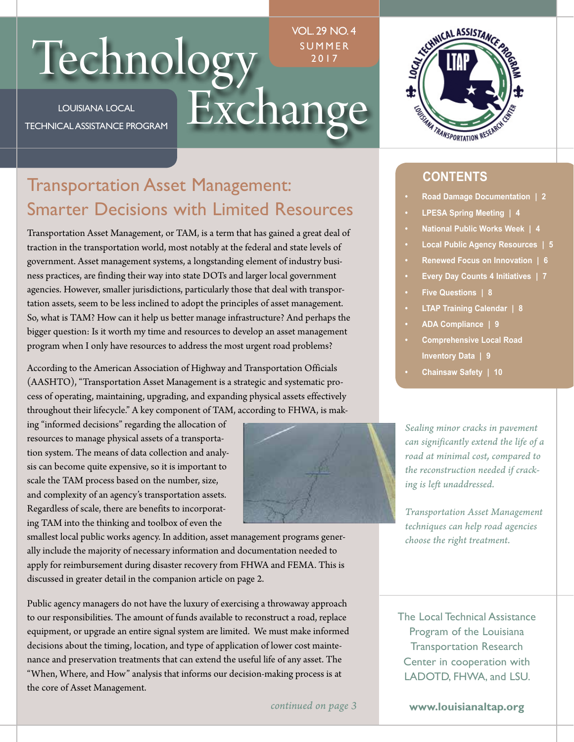# Technology SUMMER<br>LOUISIANA LOCAL Exchange

LOUISIANA LOCAL TECHNICAL ASSISTANCE PROGRAM VOL. 29 NO. 4 UMMER 2017



# Transportation Asset Management: Smarter Decisions with Limited Resources

Transportation Asset Management, or TAM, is a term that has gained a great deal of traction in the transportation world, most notably at the federal and state levels of government. Asset management systems, a longstanding element of industry business practices, are finding their way into state DOTs and larger local government agencies. However, smaller jurisdictions, particularly those that deal with transportation assets, seem to be less inclined to adopt the principles of asset management. So, what is TAM? How can it help us better manage infrastructure? And perhaps the bigger question: Is it worth my time and resources to develop an asset management program when I only have resources to address the most urgent road problems?

According to the American Association of Highway and Transportation Officials (AASHTO), "Transportation Asset Management is a strategic and systematic process of operating, maintaining, upgrading, and expanding physical assets effectively throughout their lifecycle." A key component of TAM, according to FHWA, is mak-

ing "informed decisions" regarding the allocation of resources to manage physical assets of a transportation system. The means of data collection and analysis can become quite expensive, so it is important to scale the TAM process based on the number, size, and complexity of an agency's transportation assets. Regardless of scale, there are benefits to incorporating TAM into the thinking and toolbox of even the



smallest local public works agency. In addition, asset management programs generally include the majority of necessary information and documentation needed to apply for reimbursement during disaster recovery from FHWA and FEMA. This is discussed in greater detail in the companion article on page 2.

Public agency managers do not have the luxury of exercising a throwaway approach to our responsibilities. The amount of funds available to reconstruct a road, replace equipment, or upgrade an entire signal system are limited. We must make informed decisions about the timing, location, and type of application of lower cost maintenance and preservation treatments that can extend the useful life of any asset. The "When, Where, and How" analysis that informs our decision-making process is at the core of Asset Management.

*continued on page 3* 

### **CONTENTS**

- **Road Damage Documentation | 2**
- **LPESA Spring Meeting | 4**
- **National Public Works Week | 4**
- **Local Public Agency Resources | 5**
- **Renewed Focus on Innovation | 6**
- **Every Day Counts 4 Initiatives | 7**
- **Five Questions | 8**
- **LTAP Training Calendar | 8**
- **ADA Compliance | 9**
- **Comprehensive Local Road Inventory Data | 9**
- **Chainsaw Safety | 10**

*Sealing minor cracks in pavement can significantly extend the life of a road at minimal cost, compared to the reconstruction needed if cracking is left unaddressed.* 

*Transportation Asset Management techniques can help road agencies choose the right treatment.* 

The Local Technical Assistance Program of the Louisiana Transportation Research Center in cooperation with LADOTD, FHWA, and LSU.

**<www.louisianaltap.org>**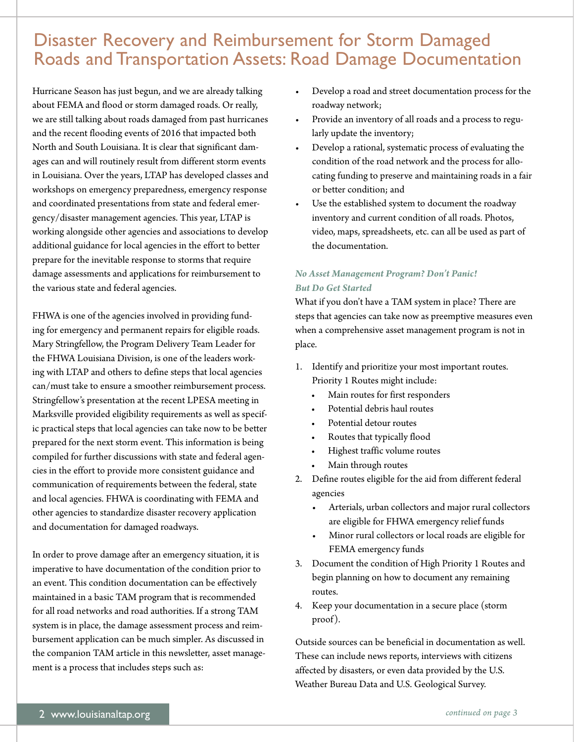# Disaster Recovery and Reimbursement for Storm Damaged Roads and Transportation Assets: Road Damage Documentation

Hurricane Season has just begun, and we are already talking about FEMA and flood or storm damaged roads. Or really, we are still talking about roads damaged from past hurricanes and the recent flooding events of 2016 that impacted both North and South Louisiana. It is clear that significant damages can and will routinely result from different storm events in Louisiana. Over the years, LTAP has developed classes and workshops on emergency preparedness, emergency response and coordinated presentations from state and federal emergency/disaster management agencies. This year, LTAP is working alongside other agencies and associations to develop additional guidance for local agencies in the effort to better prepare for the inevitable response to storms that require damage assessments and applications for reimbursement to the various state and federal agencies.

FHWA is one of the agencies involved in providing funding for emergency and permanent repairs for eligible roads. Mary Stringfellow, the Program Delivery Team Leader for the FHWA Louisiana Division, is one of the leaders working with LTAP and others to define steps that local agencies can/must take to ensure a smoother reimbursement process. Stringfellow's presentation at the recent LPESA meeting in Marksville provided eligibility requirements as well as specific practical steps that local agencies can take now to be better prepared for the next storm event. This information is being compiled for further discussions with state and federal agencies in the effort to provide more consistent guidance and communication of requirements between the federal, state and local agencies. FHWA is coordinating with FEMA and other agencies to standardize disaster recovery application and documentation for damaged roadways.

In order to prove damage after an emergency situation, it is imperative to have documentation of the condition prior to an event. This condition documentation can be effectively maintained in a basic TAM program that is recommended for all road networks and road authorities. If a strong TAM system is in place, the damage assessment process and reim bursement application can be much simpler. As discussed in Outside sources can be beneficial in documentation as well. the companion TAM article in this newsletter, asset manage- These can include news reports, interviews with citizens

- Develop a road and street documentation process for the roadway network;
- Provide an inventory of all roads and a process to regularly update the inventory;
- Develop a rational, systematic process of evaluating the condition of the road network and the process for allocating funding to preserve and maintaining roads in a fair or better condition; and
- Use the established system to document the roadway inventory and current condition of all roads. Photos, video, maps, spreadsheets, etc. can all be used as part of the documentation.

### *No Asset Management Program? Don't Panic! But Do Get Started*

What if you don't have a TAM system in place? There are steps that agencies can take now as preemptive measures even when a comprehensive asset management program is not in place.

- 1. Identify and prioritize your most important routes. Priority 1 Routes might include:
	- Main routes for first responders
	- Potential debris haul routes
	- Potential detour routes
	- Routes that typically flood
	- Highest traffic volume routes
	- Main through routes
- 2. Define routes eligible for the aid from different federal agencies
	- Arterials, urban collectors and major rural collectors are eligible for FHWA emergency relief funds
	- Minor rural collectors or local roads are eligible for FEMA emergency funds
- 3. Document the condition of High Priority 1 Routes and begin planning on how to document any remaining routes.
- 4. Keep your documentation in a secure place (storm proof).

ment is a process that includes steps such as: affected by disasters, or even data provided by the U.S. Weather Bureau Data and U.S. Geological Survey.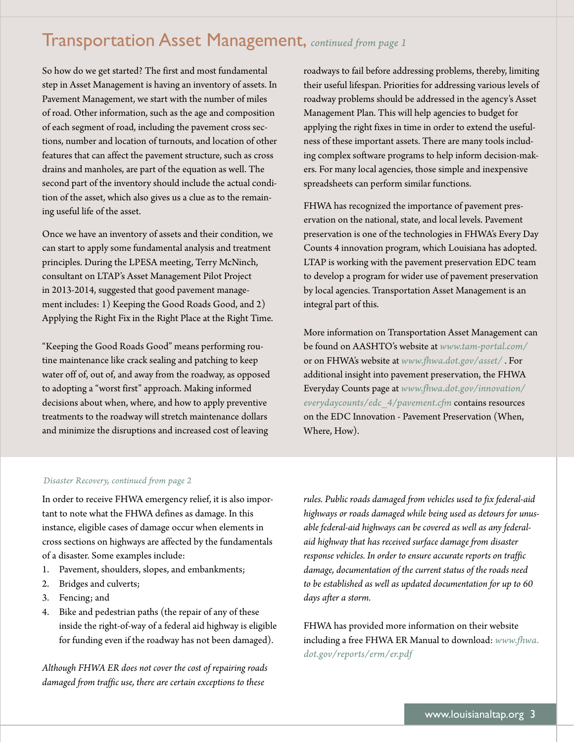### Transportation Asset Management, *continued from page 1*

So how do we get started? The first and most fundamental step in Asset Management is having an inventory of assets. In Pavement Management, we start with the number of miles of road. Other information, such as the age and composition of each segment of road, including the pavement cross sections, number and location of turnouts, and location of other features that can affect the pavement structure, such as cross drains and manholes, are part of the equation as well. The second part of the inventory should include the actual condition of the asset, which also gives us a clue as to the remaining useful life of the asset.

Once we have an inventory of assets and their condition, we can start to apply some fundamental analysis and treatment principles. During the LPESA meeting, Terry McNinch, consultant on LTAP's Asset Management Pilot Project in 2013-2014, suggested that good pavement management includes: 1) Keeping the Good Roads Good, and 2) Applying the Right Fix in the Right Place at the Right Time.

"Keeping the Good Roads Good" means performing routine maintenance like crack sealing and patching to keep water off of, out of, and away from the roadway, as opposed to adopting a "worst first" approach. Making informed decisions about when, where, and how to apply preventive treatments to the roadway will stretch maintenance dollars and minimize the disruptions and increased cost of leaving

roadways to fail before addressing problems, thereby, limiting their useful lifespan. Priorities for addressing various levels of roadway problems should be addressed in the agency's Asset Management Plan. This will help agencies to budget for applying the right fixes in time in order to extend the usefulness of these important assets. There are many tools including complex software programs to help inform decision-makers. For many local agencies, those simple and inexpensive spreadsheets can perform similar functions.

FHWA has recognized the importance of pavement preservation on the national, state, and local levels. Pavement preservation is one of the technologies in FHWA's Every Day Counts 4 innovation program, which Louisiana has adopted. LTAP is working with the pavement preservation EDC team to develop a program for wider use of pavement preservation by local agencies. Transportation Asset Management is an integral part of this.

More information on Transportation Asset Management can be found on AASHTO's website at *[www.tam-portal.com/](www.tam-portal.com)*  or on FHWA's website at *[www.fhwa.dot.gov/asset/](www.fhwa.dot.gov/asset)* . For additional insight into pavement preservation, the FHWA Everyday Counts page at *<www.fhwa.dot.gov/innovation>/ everydaycounts/edc\_4/pavement.cfm* contains resources on the EDC Innovation - Pavement Preservation (When, Where, How).

### *Disaster Recovery, continued from page 2*

In order to receive FHWA emergency relief, it is also important to note what the FHWA defines as damage. In this instance, eligible cases of damage occur when elements in cross sections on highways are affected by the fundamentals of a disaster. Some examples include:

- 1. Pavement, shoulders, slopes, and embankments;
- 2. Bridges and culverts;
- 3. Fencing; and
- 4. Bike and pedestrian paths (the repair of any of these inside the right-of-way of a federal aid highway is eligible for funding even if the roadway has not been damaged).

*Although FHWA ER does not cover the cost of repairing roads damaged from traffic use, there are certain exceptions to these* 

*rules. Public roads damaged from vehicles used to fix federal-aid highways or roads damaged while being used as detours for unusable federal-aid highways can be covered as well as any federalaid highway that has received surface damage from disaster response vehicles. In order to ensure accurate reports on traffic damage, documentation of the current status of the roads need to be established as well as updated documentation for up to 60 days after a storm.* 

FHWA has provided more information on their website including a free FHWA ER Manual to download: *[www.fhwa.](www.fhwa) [dot.gov/reports/erm/er.pdf](https://dot.gov/reports/erm/er.pdf)*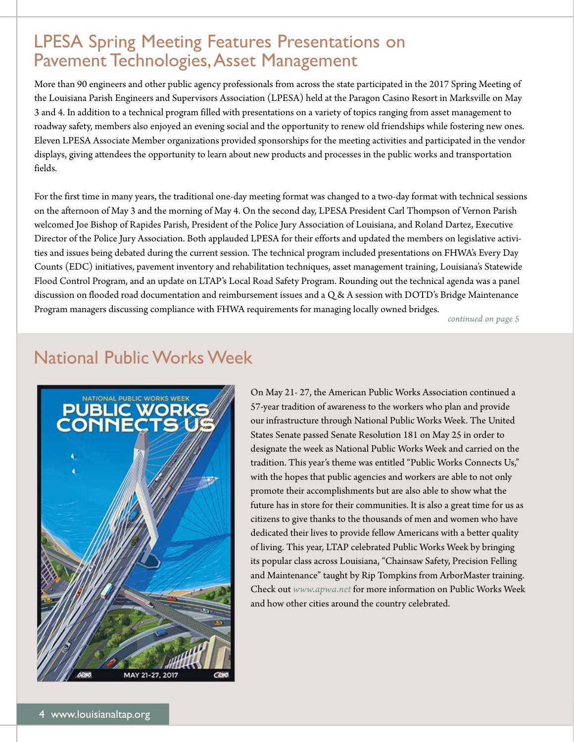# LPESA Spring Meeting Features Presentations on Pavement Technologies, Asset Management

More than 90 engineers and other public agency professionals from across the state participated in the 2017 Spring Meeting of the Louisiana Parish Engineers and Supervisors Association (LPESA) held at the Paragon Casino Resort in Marksville on May 3 and 4. In addition to a technical program filled with presentations on a variety of topics ranging from asset management to roadway safety, members also enjoyed an evening social and the opportunity to renew old friendships while fostering new ones. Eleven LPESA Associate Member organizations provided sponsorships for the meeting activities and participated in the vendor displays, giving attendees the opportunity to learn about new products and processes in the public works and transportation fields.

For the first time in many years, the traditional one-day meeting format was changed to a two-day format with technical sessions on the afternoon of May 3 and the morning of May 4. On the second day, LPESA President Carl Thompson of Vernon Parish welcomed Joe Bishop of Rapides Parish, President of the Police Jury Association of Louisiana, and Roland Dartez, Executive Director of the Police Jury Association. Both applauded LPESA for their efforts and updated the members on legislative activities and issues being debated during the current session. The technical program included presentations on FHWA's Every Day Counts (EDC) initiatives, pavement inventory and rehabilitation techniques, asset management training, Louisiana's Statewide Flood Control Program, and an update on LTAP's Local Road Safety Program. Rounding out the technical agenda was a panel discussion on flooded road documentation and reimbursement issues and a Q & A session with DOTD's Bridge Maintenance Program managers discussing compliance with FHWA requirements for managing locally owned bridges.

*continued on page 5* 

### National Public Works Week



On May 21- 27, the American Public Works Association continued a 57-year tradition of awareness to the workers who plan and provide our infrastructure through National Public Works Week. The United States Senate passed Senate Resolution 181 on May 25 in order to designate the week as National Public Works Week and carried on the tradition. This year's theme was entitled "Public Works Connects Us," with the hopes that public agencies and workers are able to not only promote their accomplishments but are also able to show what the future has in store for their communities. It is also a great time for us as citizens to give thanks to the thousands of men and women who have dedicated their lives to provide fellow Americans with a better quality of living. This year, LTAP celebrated Public Works Week by bringing its popular class across Louisiana, "Chainsaw Safety, Precision Felling and Maintenance" taught by Rip Tompkins from ArborMaster training. Check out *<www.apwa.net>* for more information on Public Works Week and how other cities around the country celebrated.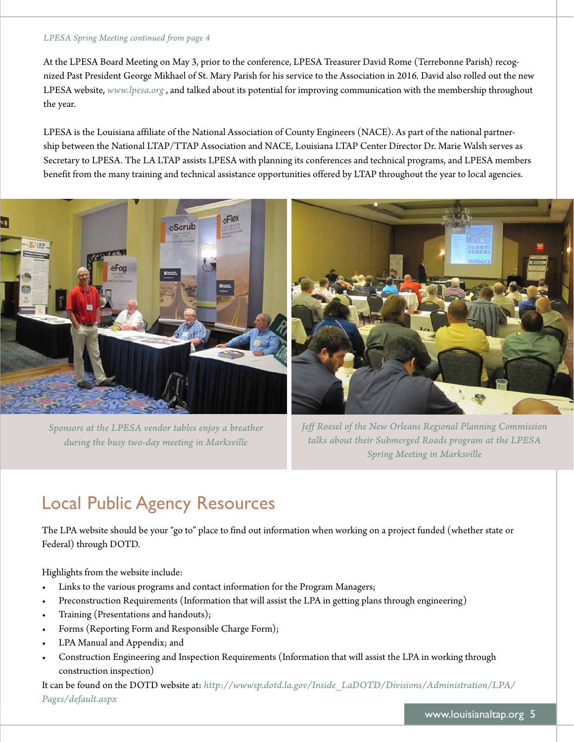### *LPESA Spring Meeting continued from page 4*

At the LPESA Board Meeting on May 3, prior to the conference, LPESA Treasurer David Rome (Terrebonne Parish) recognized Past President George Mikhael of St. Mary Parish for his service to the Association in 2016. David also rolled out the new LPESA website, *<www.lpesa.org>* , and talked about its potential for improving communication with the membership throughout the year.

LPESA is the Louisiana affiliate of the National Association of County Engineers (NACE). As part of the national partnership between the National LTAP/TTAP Association and NACE, Louisiana LTAP Center Director Dr. Marie Walsh serves as Secretary to LPESA. The LA LTAP assists LPESA with planning its conferences and technical programs, and LPESA members benefit from the many training and technical assistance opportunities offered by LTAP throughout the year to local agencies.



*Sponsors at the LPESA vendor tables enjoy a breather during the busy two-day meeting in Marksville* 

*Jeff Roesel of the New Orleans Regional Planning Commission talks about their Submerged Roads program at the LPESA Spring Meeting in Marksville* 

# Local Public Agency Resources

The LPA website should be your "go to" place to find out information when working on a project funded (whether state or Federal) through DOTD.

Highlights from the website include:

- Links to the various programs and contact information for the Program Managers;
- Preconstruction Requirements (Information that will assist the LPA in getting plans through engineering)
- Training (Presentations and handouts);
- Forms (Reporting Form and Responsible Charge Form);
- LPA Manual and Appendix; and
- Construction Engineering and Inspection Requirements (Information that will assist the LPA in working through construction inspection)

It can be found on the DOTD website at: *[http://wwwsp.dotd.la.gov/Inside\\_LaDOTD/Divisions/Administration/LPA/](http://wwwsp.dotd.la.gov/Inside_LaDOTD/Divisions/Administration/LPA) Pages/default.aspx*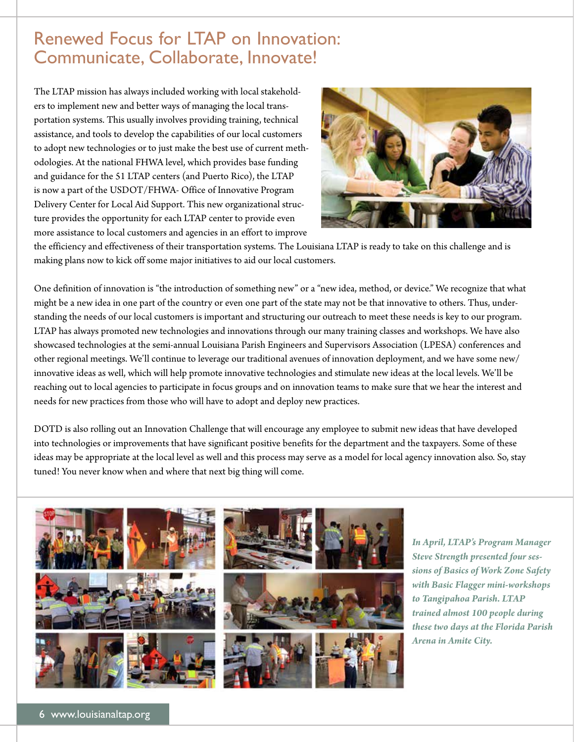### Renewed Focus for LTAP on Innovation: Communicate, Collaborate, Innovate!

The LTAP mission has always included working with local stakeholders to implement new and better ways of managing the local transportation systems. This usually involves providing training, technical assistance, and tools to develop the capabilities of our local customers to adopt new technologies or to just make the best use of current methodologies. At the national FHWA level, which provides base funding and guidance for the 51 LTAP centers (and Puerto Rico), the LTAP is now a part of the USDOT/FHWA- Office of Innovative Program Delivery Center for Local Aid Support. This new organizational structure provides the opportunity for each LTAP center to provide even more assistance to local customers and agencies in an effort to improve



the efficiency and effectiveness of their transportation systems. The Louisiana LTAP is ready to take on this challenge and is making plans now to kick off some major initiatives to aid our local customers.

One definition of innovation is "the introduction of something new" or a "new idea, method, or device." We recognize that what might be a new idea in one part of the country or even one part of the state may not be that innovative to others. Thus, understanding the needs of our local customers is important and structuring our outreach to meet these needs is key to our program. LTAP has always promoted new technologies and innovations through our many training classes and workshops. We have also showcased technologies at the semi-annual Louisiana Parish Engineers and Supervisors Association (LPESA) conferences and other regional meetings. We'll continue to leverage our traditional avenues of innovation deployment, and we have some new/ innovative ideas as well, which will help promote innovative technologies and stimulate new ideas at the local levels. We'll be reaching out to local agencies to participate in focus groups and on innovation teams to make sure that we hear the interest and needs for new practices from those who will have to adopt and deploy new practices.

DOTD is also rolling out an Innovation Challenge that will encourage any employee to submit new ideas that have developed into technologies or improvements that have significant positive benefits for the department and the taxpayers. Some of these ideas may be appropriate at the local level as well and this process may serve as a model for local agency innovation also. So, stay tuned! You never know when and where that next big thing will come.



*In April, LTAP's Program Manager Steve Strength presented four sessions of Basics of Work Zone Safety with Basic Flagger mini-workshops to Tangipahoa Parish. LTAP trained almost 100 people during these two days at the Florida Parish Arena in Amite City.*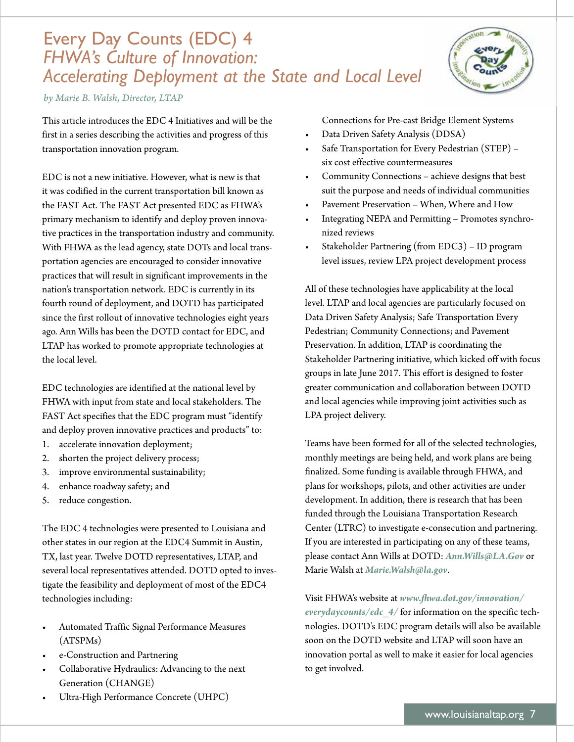# *FHWA's Culture of Innovation:*  Every Day Counts (EDC) 4 *Accelerating Deployment at the State and Local Level*

*by Marie B. Walsh, Director, LTAP* 

This article introduces the EDC 4 Initiatives and will be the first in a series describing the activities and progress of this transportation innovation program.

EDC is not a new initiative. However, what is new is that it was codified in the current transportation bill known as the FAST Act. The FAST Act presented EDC as FHWA's primary mechanism to identify and deploy proven innovative practices in the transportation industry and community. With FHWA as the lead agency, state DOTs and local transportation agencies are encouraged to consider innovative practices that will result in significant improvements in the nation's transportation network. EDC is currently in its fourth round of deployment, and DOTD has participated since the first rollout of innovative technologies eight years ago. Ann Wills has been the DOTD contact for EDC, and LTAP has worked to promote appropriate technologies at the local level.

EDC technologies are identified at the national level by FHWA with input from state and local stakeholders. The FAST Act specifies that the EDC program must "identify and deploy proven innovative practices and products" to:

- 1. accelerate innovation deployment;
- 2. shorten the project delivery process;
- 3. improve environmental sustainability;
- 4. enhance roadway safety; and
- 5. reduce congestion.

The EDC 4 technologies were presented to Louisiana and other states in our region at the EDC4 Summit in Austin, TX, last year. Twelve DOTD representatives, LTAP, and several local representatives attended. DOTD opted to investigate the feasibility and deployment of most of the EDC4 technologies including:

- Automated Traffic Signal Performance Measures (ATSPMs)
- e-Construction and Partnering
- Collaborative Hydraulics: Advancing to the next Generation (CHANGE)
- Ultra-High Performance Concrete (UHPC)

Connections for Pre-cast Bridge Element Systems

- Data Driven Safety Analysis (DDSA)
- Safe Transportation for Every Pedestrian (STEP) six cost effective countermeasures
- Community Connections achieve designs that best suit the purpose and needs of individual communities
- Pavement Preservation When, Where and How
- Integrating NEPA and Permitting Promotes synchronized reviews
- Stakeholder Partnering (from EDC3) ID program level issues, review LPA project development process

All of these technologies have applicability at the local level. LTAP and local agencies are particularly focused on Data Driven Safety Analysis; Safe Transportation Every Pedestrian; Community Connections; and Pavement Preservation. In addition, LTAP is coordinating the Stakeholder Partnering initiative, which kicked off with focus groups in late June 2017. This effort is designed to foster greater communication and collaboration between DOTD and local agencies while improving joint activities such as LPA project delivery.

Teams have been formed for all of the selected technologies, monthly meetings are being held, and work plans are being finalized. Some funding is available through FHWA, and plans for workshops, pilots, and other activities are under development. In addition, there is research that has been funded through the Louisiana Transportation Research Center (LTRC) to investigate e-consecution and partnering. If you are interested in participating on any of these teams, please contact Ann Wills at DOTD: *[Ann.Wills@LA.Gov](mailto:Ann.Wills@LA.Gov)* or Marie Walsh at *[Marie.Walsh@la.gov](mailto:Marie.Walsh@la.gov)*.

Visit FHWA's website at *<www.fhwa.dot.gov/innovation>/ everydaycounts/edc\_4/* for information on the specific technologies. DOTD's EDC program details will also be available soon on the DOTD website and LTAP will soon have an innovation portal as well to make it easier for local agencies to get involved.

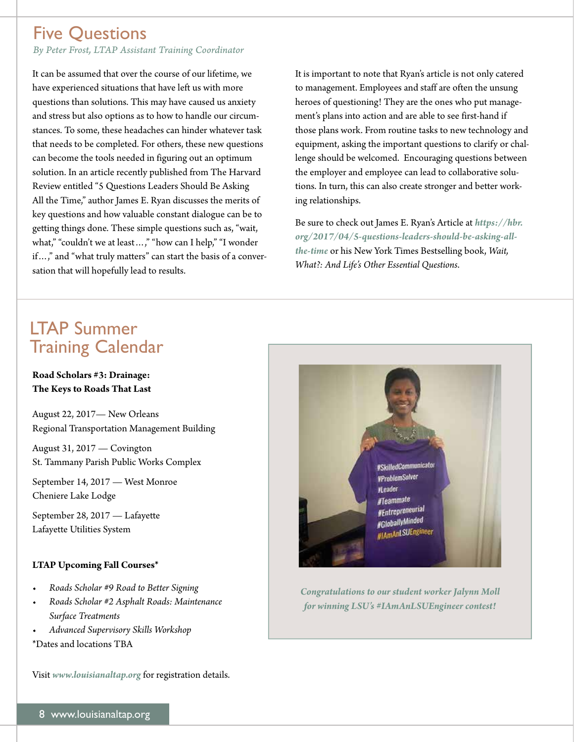### Five Questions

*By Peter Frost, LTAP Assistant Training Coordinator* 

It can be assumed that over the course of our lifetime, we have experienced situations that have left us with more questions than solutions. This may have caused us anxiety and stress but also options as to how to handle our circumstances. To some, these headaches can hinder whatever task that needs to be completed. For others, these new questions can become the tools needed in figuring out an optimum solution. In an article recently published from The Harvard Review entitled "5 Questions Leaders Should Be Asking All the Time," author James E. Ryan discusses the merits of key questions and how valuable constant dialogue can be to getting things done. These simple questions such as, "wait, what," "couldn't we at least ...," "how can I help," "I wonder if…," and "what truly matters" can start the basis of a conversation that will hopefully lead to results.

It is important to note that Ryan's article is not only catered to management. Employees and staff are often the unsung heroes of questioning! They are the ones who put management's plans into action and are able to see first-hand if those plans work. From routine tasks to new technology and equipment, asking the important questions to clarify or challenge should be welcomed. Encouraging questions between the employer and employee can lead to collaborative solutions. In turn, this can also create stronger and better working relationships.

Be sure to check out James E. Ryan's Article at *[https://hbr.](https://hbr) org/2017/04/5-questions-leaders-should-be-asking-allthe-time* or his New York Times Bestselling book, *Wait, What?: And Life's Other Essential Questions*.

# LTAP Summer Training Calendar

### **Road Scholars #3: Drainage: The Keys to Roads That Last**

August 22, 2017— New Orleans Regional Transportation Management Building

August 31, 2017 — Covington St. Tammany Parish Public Works Complex

September 14, 2017 — West Monroe Cheniere Lake Lodge

September 28, 2017 — Lafayette Lafayette Utilities System

### **LTAP Upcoming Fall Courses\***

- *Roads Scholar #9 Road to Better Signing*
- *Roads Scholar #2 Asphalt Roads: Maintenance Surface Treatments*
- *Advanced Supervisory Skills Workshop*
- \*Dates and locations TBA

Visit *<www.louisianaltap.org>* for registration details.



*Congratulations to our student worker Jalynn Moll for winning LSU's #IAmAnLSUEngineer contest!*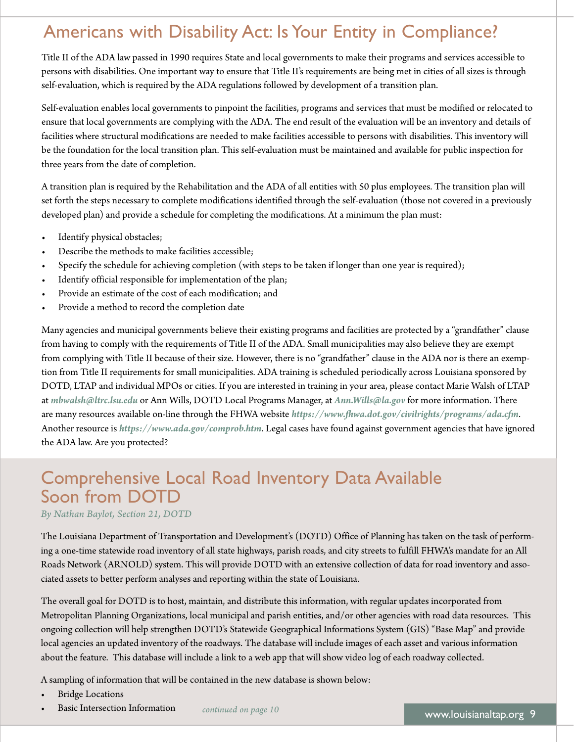# Americans with Disability Act: Is Your Entity in Compliance?

Title II of the ADA law passed in 1990 requires State and local governments to make their programs and services accessible to persons with disabilities. One important way to ensure that Title II's requirements are being met in cities of all sizes is through self-evaluation, which is required by the ADA regulations followed by development of a transition plan.

Self-evaluation enables local governments to pinpoint the facilities, programs and services that must be modified or relocated to ensure that local governments are complying with the ADA. The end result of the evaluation will be an inventory and details of facilities where structural modifications are needed to make facilities accessible to persons with disabilities. This inventory will be the foundation for the local transition plan. This self-evaluation must be maintained and available for public inspection for three years from the date of completion.

A transition plan is required by the Rehabilitation and the ADA of all entities with 50 plus employees. The transition plan will set forth the steps necessary to complete modifications identified through the self-evaluation (those not covered in a previously developed plan) and provide a schedule for completing the modifications. At a minimum the plan must:

- Identify physical obstacles;
- Describe the methods to make facilities accessible;
- Specify the schedule for achieving completion (with steps to be taken if longer than one year is required);
- Identify official responsible for implementation of the plan;
- Provide an estimate of the cost of each modification; and
- Provide a method to record the completion date

Many agencies and municipal governments believe their existing programs and facilities are protected by a "grandfather" clause from having to comply with the requirements of Title II of the ADA. Small municipalities may also believe they are exempt from complying with Title II because of their size. However, there is no "grandfather" clause in the ADA nor is there an exemption from Title II requirements for small municipalities. ADA training is scheduled periodically across Louisiana sponsored by DOTD, LTAP and individual MPOs or cities. If you are interested in training in your area, please contact Marie Walsh of LTAP at *[mbwalsh@ltrc.lsu.edu](mailto:mbwalsh@ltrc.lsu.edu)* or Ann Wills, DOTD Local Programs Manager, at *[Ann.Wills@la.gov](mailto:Ann.Wills@la.gov)* for more information. There are many resources available on-line through the FHWA website *<https://www.fhwa.dot.gov/civilrights/programs/ada.cfm>*. Another resource is *<https://www.ada.gov/comprob.htm>*. Legal cases have found against government agencies that have ignored the ADA law. Are you protected?

# Comprehensive Local Road Inventory Data Available Soon from DOTD

*By Nathan Baylot, Section 21, DOTD* 

The Louisiana Department of Transportation and Development's (DOTD) Office of Planning has taken on the task of performing a one-time statewide road inventory of all state highways, parish roads, and city streets to fulfill FHWA's mandate for an All Roads Network (ARNOLD) system. This will provide DOTD with an extensive collection of data for road inventory and associated assets to better perform analyses and reporting within the state of Louisiana.

The overall goal for DOTD is to host, maintain, and distribute this information, with regular updates incorporated from Metropolitan Planning Organizations, local municipal and parish entities, and/or other agencies with road data resources. This ongoing collection will help strengthen DOTD's Statewide Geographical Informations System (GIS) "Base Map" and provide local agencies an updated inventory of the roadways. The database will include images of each asset and various information about the feature. This database will include a link to a web app that will show video log of each roadway collected.

A sampling of information that will be contained in the new database is shown below:

- **Bridge Locations**
- **Fasic Intersection Information** *continued on page 10* **<www.louisianaltap.org>9**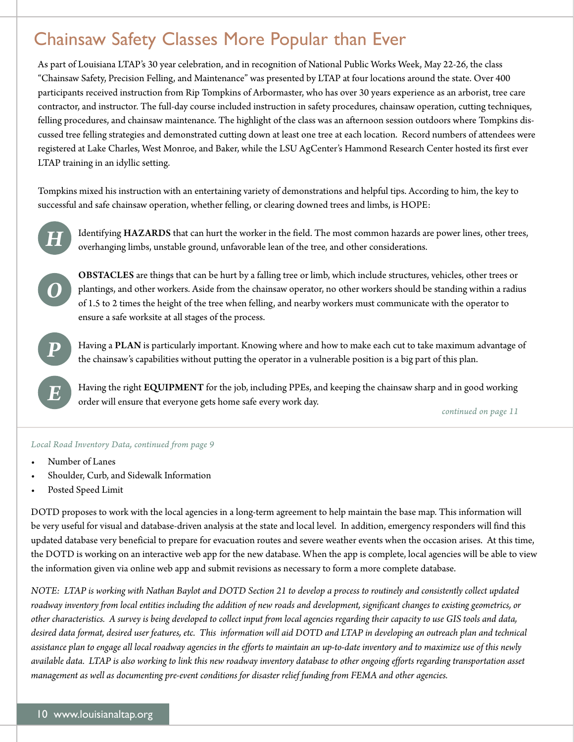# Chainsaw Safety Classes More Popular than Ever

As part of Louisiana LTAP's 30 year celebration, and in recognition of National Public Works Week, May 22-26, the class "Chainsaw Safety, Precision Felling, and Maintenance" was presented by LTAP at four locations around the state. Over 400 participants received instruction from Rip Tompkins of Arbormaster, who has over 30 years experience as an arborist, tree care contractor, and instructor. The full-day course included instruction in safety procedures, chainsaw operation, cutting techniques, felling procedures, and chainsaw maintenance. The highlight of the class was an afternoon session outdoors where Tompkins discussed tree felling strategies and demonstrated cutting down at least one tree at each location. Record numbers of attendees were registered at Lake Charles, West Monroe, and Baker, while the LSU AgCenter's Hammond Research Center hosted its first ever LTAP training in an idyllic setting.

Tompkins mixed his instruction with an entertaining variety of demonstrations and helpful tips. According to him, the key to successful and safe chainsaw operation, whether felling, or clearing downed trees and limbs, is HOPE:



Identifying HAZARDS that can hurt the worker in the field. The most common hazards are power lines, other trees, overhanging limbs, unstable ground, unfavorable lean of the tree, and other considerations.



OBSTACLES are things that can be hurt by a falling tree or limb, which include structures, vehicles, other trees or plantings, and other workers. Aside from the chainsaw operator, no other workers should be standing within a radius of 1.5 to 2 times the height of the tree when felling, and nearby workers must communicate with the operator to ensure a safe worksite at all stages of the process.



*E* 

Having a PLAN is particularly important. Knowing where and how to make each cut to take maximum advantage of the chainsaw's capabilities without putting the operator in a vulnerable position is a big part of this plan.

Having the right EQUIPMENT for the job, including PPEs, and keeping the chainsaw sharp and in good working order will ensure that everyone gets home safe every work day.

*continued on page 11* 

### *Local Road Inventory Data, continued from page 9*

- Number of Lanes
- Shoulder, Curb, and Sidewalk Information
- Posted Speed Limit

DOTD proposes to work with the local agencies in a long-term agreement to help maintain the base map. This information will be very useful for visual and database-driven analysis at the state and local level. In addition, emergency responders will find this updated database very beneficial to prepare for evacuation routes and severe weather events when the occasion arises. At this time, the DOTD is working on an interactive web app for the new database. When the app is complete, local agencies will be able to view the information given via online web app and submit revisions as necessary to form a more complete database.

*NOTE: LTAP is working with Nathan Baylot and DOTD Section 21 to develop a process to routinely and consistently collect updated roadway inventory from local entities including the addition of new roads and development, significant changes to existing geometrics, or other characteristics. A survey is being developed to collect input from local agencies regarding their capacity to use GIS tools and data, desired data format, desired user features, etc. This information will aid DOTD and LTAP in developing an outreach plan and technical assistance plan to engage all local roadway agencies in the efforts to maintain an up-to-date inventory and to maximize use of this newly available data. LTAP is also working to link this new roadway inventory database to other ongoing efforts regarding transportation asset management as well as documenting pre-event conditions for disaster relief funding from FEMA and other agencies.*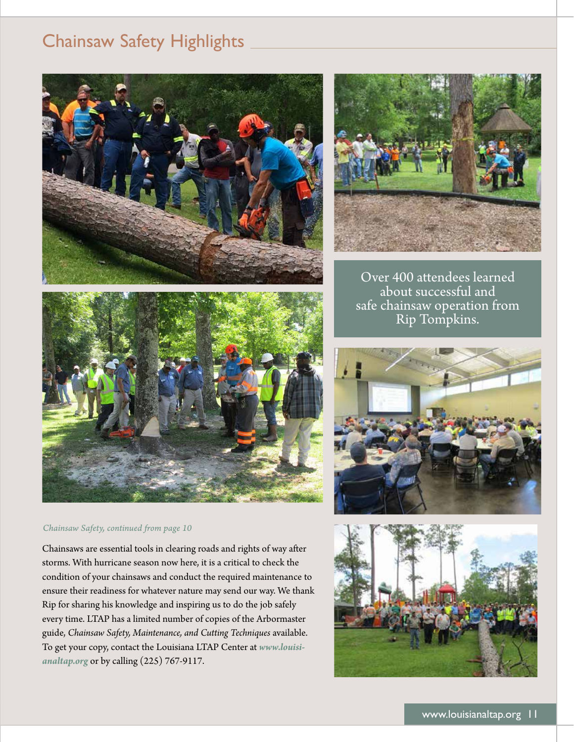# Chainsaw Safety Highlights







### *Chainsaw Safety, continued from page 10*

Chainsaws are essential tools in clearing roads and rights of way after storms. With hurricane season now here, it is a critical to check the condition of your chainsaws and conduct the required maintenance to ensure their readiness for whatever nature may send our way. We thank Rip for sharing his knowledge and inspiring us to do the job safely every time. LTAP has a limited number of copies of the Arbormaster guide, *Chainsaw Safety, Maintenance, and Cutting Techniques* available. To get your copy, contact the Louisiana LTAP Center at *<www.louisi>[analtap.org](https://analtap.org)* or by calling (225) 767-9117.

Over 400 attendees learned about successful and safe chainsaw operation from Rip Tompkins.